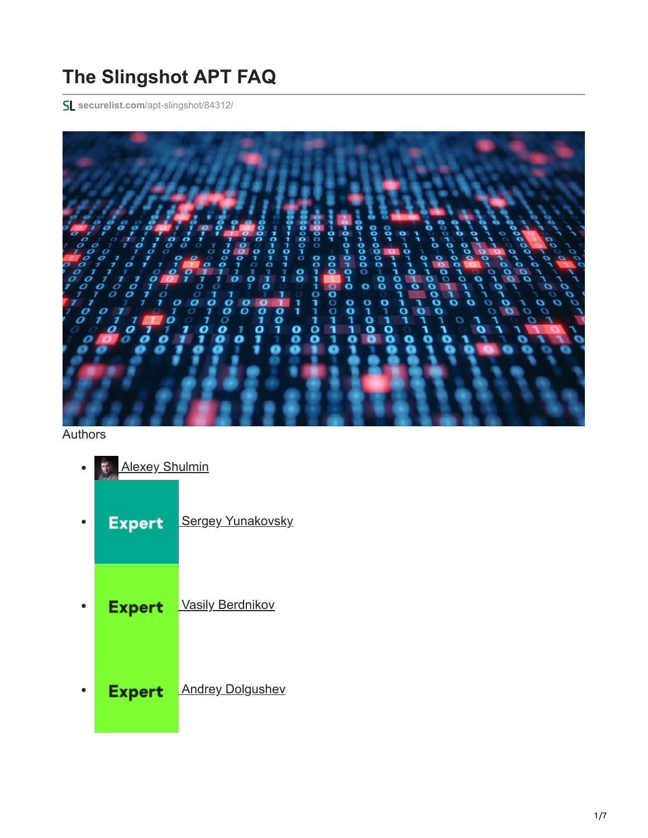# **The Slingshot APT FAQ**

**securelist.com**[/apt-slingshot/84312/](https://securelist.com/apt-slingshot/84312/)



# Authors

 $\bullet$ 

- **[Alexey Shulmin](https://securelist.com/author/alexeyshulmin/)**  $\bullet$
- **[Sergey Yunakovsky](https://securelist.com/author/sergeyyunakovsky/) Expert**  $\bullet$
- **Expert [Vasily Berdnikov](https://securelist.com/author/vasilyberdnikov/)** 
	- **Expert [Andrey Dolgushev](https://securelist.com/author/andreydolgushev/)**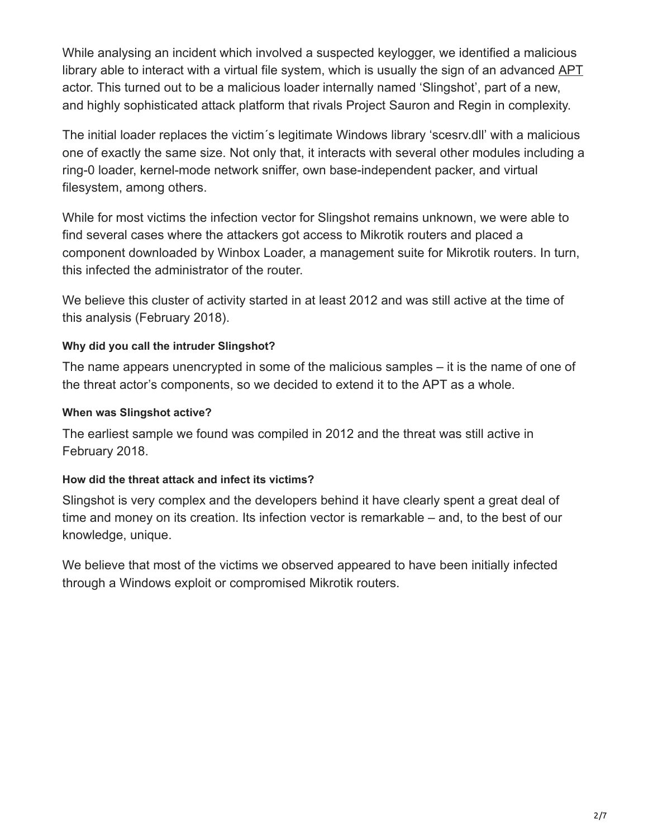While analysing an incident which involved a suspected keylogger, we identified a malicious library able to interact with a virtual file system, which is usually the sign of an advanced [APT](https://encyclopedia.kaspersky.com/glossary/apt-advanced-persistent-threats/?utm_source=securelist&utm_medium=blog&utm_campaign=termin-explanation) actor. This turned out to be a malicious loader internally named 'Slingshot', part of a new, and highly sophisticated attack platform that rivals Project Sauron and Regin in complexity.

The initial loader replaces the victim´s legitimate Windows library 'scesrv.dll' with a malicious one of exactly the same size. Not only that, it interacts with several other modules including a ring-0 loader, kernel-mode network sniffer, own base-independent packer, and virtual filesystem, among others.

While for most victims the infection vector for Slingshot remains unknown, we were able to find several cases where the attackers got access to Mikrotik routers and placed a component downloaded by Winbox Loader, a management suite for Mikrotik routers. In turn, this infected the administrator of the router.

We believe this cluster of activity started in at least 2012 and was still active at the time of this analysis (February 2018).

# **Why did you call the intruder Slingshot?**

The name appears unencrypted in some of the malicious samples – it is the name of one of the threat actor's components, so we decided to extend it to the APT as a whole.

# **When was Slingshot active?**

The earliest sample we found was compiled in 2012 and the threat was still active in February 2018.

## **How did the threat attack and infect its victims?**

Slingshot is very complex and the developers behind it have clearly spent a great deal of time and money on its creation. Its infection vector is remarkable – and, to the best of our knowledge, unique.

We believe that most of the victims we observed appeared to have been initially infected through a Windows exploit or compromised Mikrotik routers.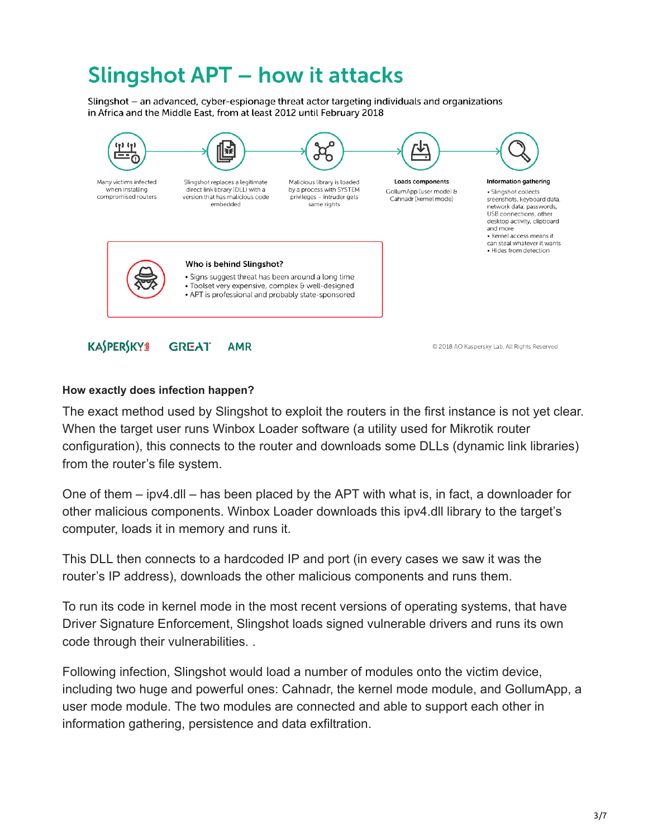# **Slingshot APT - how it attacks**

Slingshot - an advanced, cyber-espionage threat actor targeting individuals and organizations in Africa and the Middle East, from at least 2012 until February 2018



### **How exactly does infection happen?**

The exact method used by Slingshot to exploit the routers in the first instance is not yet clear. When the target user runs Winbox Loader software (a utility used for Mikrotik router configuration), this connects to the router and downloads some DLLs (dynamic link libraries) from the router's file system.

One of them – ipv4.dll – has been placed by the APT with what is, in fact, a downloader for other malicious components. Winbox Loader downloads this ipv4.dll library to the target's computer, loads it in memory and runs it.

This DLL then connects to a hardcoded IP and port (in every cases we saw it was the router's IP address), downloads the other malicious components and runs them.

To run its code in kernel mode in the most recent versions of operating systems, that have Driver Signature Enforcement, Slingshot loads signed vulnerable drivers and runs its own code through their vulnerabilities. .

Following infection, Slingshot would load a number of modules onto the victim device, including two huge and powerful ones: Cahnadr, the kernel mode module, and GollumApp, a user mode module. The two modules are connected and able to support each other in information gathering, persistence and data exfiltration.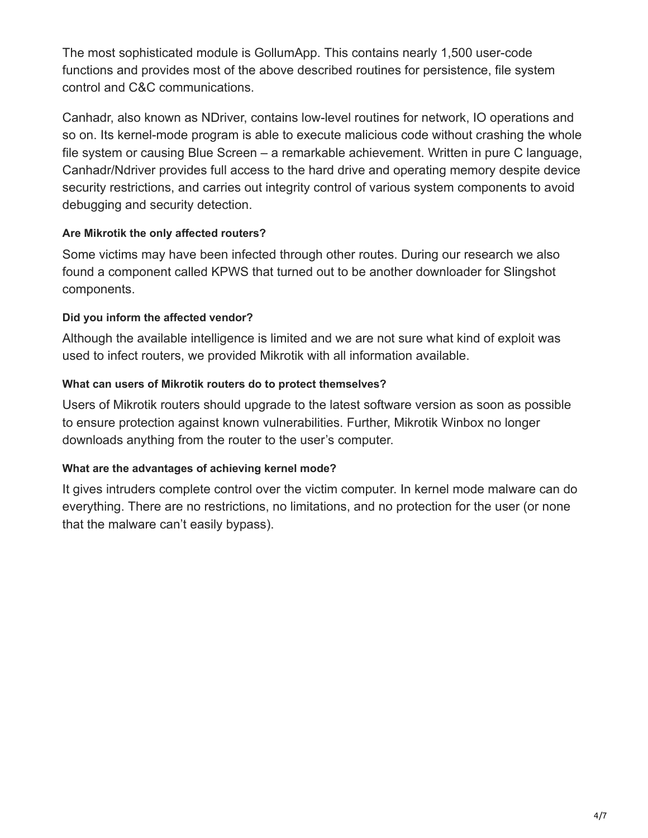The most sophisticated module is GollumApp. This contains nearly 1,500 user-code functions and provides most of the above described routines for persistence, file system control and C&C communications.

Canhadr, also known as NDriver, contains low-level routines for network, IO operations and so on. Its kernel-mode program is able to execute malicious code without crashing the whole file system or causing Blue Screen – a remarkable achievement. Written in pure C language, Canhadr/Ndriver provides full access to the hard drive and operating memory despite device security restrictions, and carries out integrity control of various system components to avoid debugging and security detection.

# **Are Mikrotik the only affected routers?**

Some victims may have been infected through other routes. During our research we also found a component called KPWS that turned out to be another downloader for Slingshot components.

# **Did you inform the affected vendor?**

Although the available intelligence is limited and we are not sure what kind of exploit was used to infect routers, we provided Mikrotik with all information available.

# **What can users of Mikrotik routers do to protect themselves?**

Users of Mikrotik routers should upgrade to the latest software version as soon as possible to ensure protection against known vulnerabilities. Further, Mikrotik Winbox no longer downloads anything from the router to the user's computer.

# **What are the advantages of achieving kernel mode?**

It gives intruders complete control over the victim computer. In kernel mode malware can do everything. There are no restrictions, no limitations, and no protection for the user (or none that the malware can't easily bypass).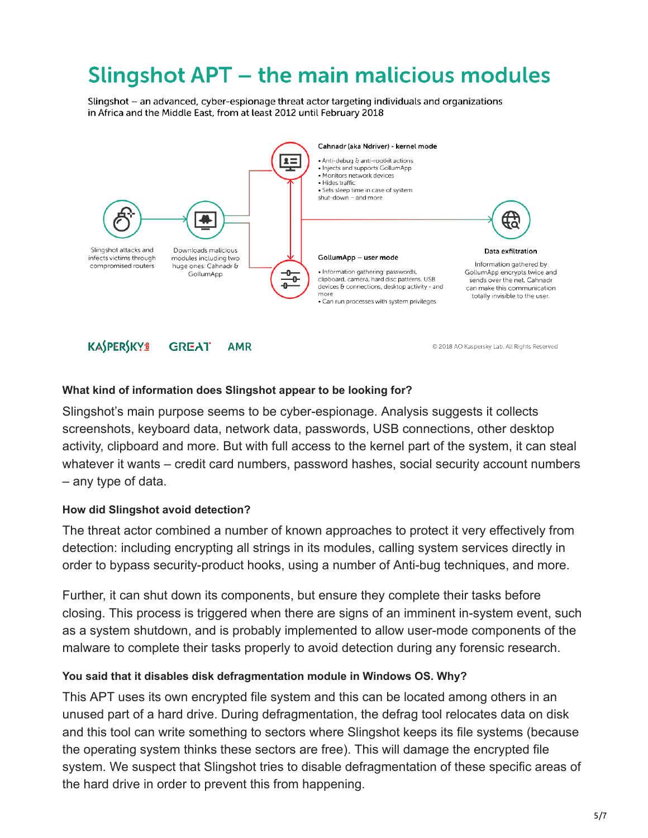# **Slingshot APT - the main malicious modules**

Slingshot - an advanced, cyber-espionage threat actor targeting individuals and organizations in Africa and the Middle East, from at least 2012 until February 2018



#### **KASPERSKYS GREAT AMR**

@ 2018 AO Kaspersky Lab. All Rights Reserved

#### **What kind of information does Slingshot appear to be looking for?**

Slingshot's main purpose seems to be cyber-espionage. Analysis suggests it collects screenshots, keyboard data, network data, passwords, USB connections, other desktop activity, clipboard and more. But with full access to the kernel part of the system, it can steal whatever it wants – credit card numbers, password hashes, social security account numbers – any type of data.

### **How did Slingshot avoid detection?**

The threat actor combined a number of known approaches to protect it very effectively from detection: including encrypting all strings in its modules, calling system services directly in order to bypass security-product hooks, using a number of Anti-bug techniques, and more.

Further, it can shut down its components, but ensure they complete their tasks before closing. This process is triggered when there are signs of an imminent in-system event, such as a system shutdown, and is probably implemented to allow user-mode components of the malware to complete their tasks properly to avoid detection during any forensic research.

### **You said that it disables disk defragmentation module in Windows OS. Why?**

This APT uses its own encrypted file system and this can be located among others in an unused part of a hard drive. During defragmentation, the defrag tool relocates data on disk and this tool can write something to sectors where Slingshot keeps its file systems (because the operating system thinks these sectors are free). This will damage the encrypted file system. We suspect that Slingshot tries to disable defragmentation of these specific areas of the hard drive in order to prevent this from happening.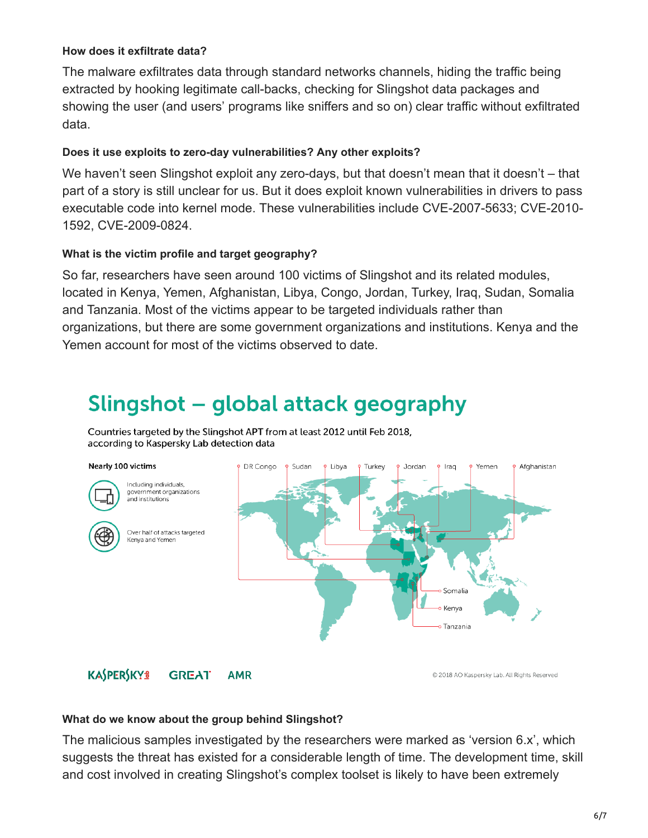### **How does it exfiltrate data?**

The malware exfiltrates data through standard networks channels, hiding the traffic being extracted by hooking legitimate call-backs, checking for Slingshot data packages and showing the user (and users' programs like sniffers and so on) clear traffic without exfiltrated data.

## **Does it use exploits to zero-day vulnerabilities? Any other exploits?**

We haven't seen Slingshot exploit any zero-days, but that doesn't mean that it doesn't – that part of a story is still unclear for us. But it does exploit known vulnerabilities in drivers to pass executable code into kernel mode. These vulnerabilities include CVE-2007-5633; CVE-2010- 1592, CVE-2009-0824.

## **What is the victim profile and target geography?**

So far, researchers have seen around 100 victims of Slingshot and its related modules, located in Kenya, Yemen, Afghanistan, Libya, Congo, Jordan, Turkey, Iraq, Sudan, Somalia and Tanzania. Most of the victims appear to be targeted individuals rather than organizations, but there are some government organizations and institutions. Kenya and the Yemen account for most of the victims observed to date.

# Slingshot – global attack geography

Countries targeted by the Slingshot APT from at least 2012 until Feb 2018, according to Kaspersky Lab detection data

#### Nearly 100 victims



Including individuals government organizations 。<br>and institutions



Over half of attacks targeted Kenya and Yemen



#### **KASPERSKYS GREAT AMR**

@ 2018 AO Kaspersky Lab. All Rights Reserved

### **What do we know about the group behind Slingshot?**

The malicious samples investigated by the researchers were marked as 'version 6.x', which suggests the threat has existed for a considerable length of time. The development time, skill and cost involved in creating Slingshot's complex toolset is likely to have been extremely